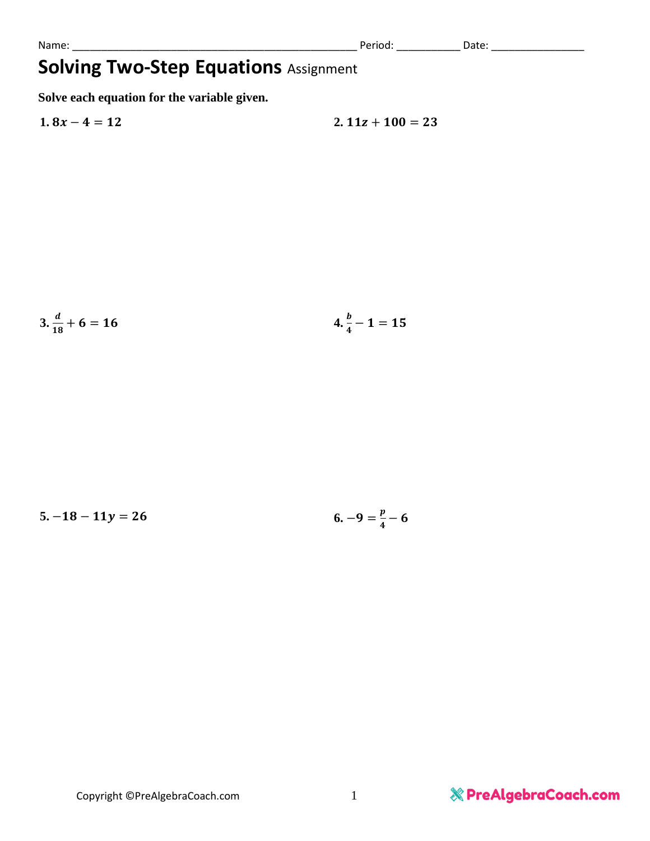## **Solving Two-Step Equations** Assignment

**Solve each equation for the variable given.**

$$
1.8x - 4 = 12 \qquad \qquad 2.11z + 100 = 23
$$

$$
3.\frac{d}{18} + 6 = 16 \qquad \qquad 4.\frac{b}{4} - 1 = 15
$$

$$
5. -18 - 11y = 26 \qquad \qquad 6. -9 = \frac{p}{4} - 6
$$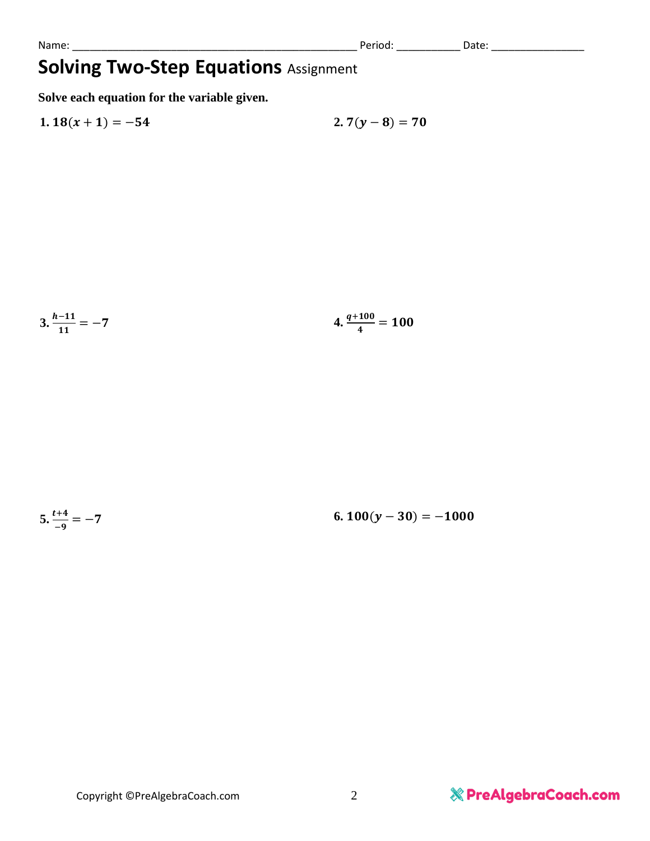Name: \_\_\_\_\_\_\_\_\_\_\_\_\_\_\_\_\_\_\_\_\_\_\_\_\_\_\_\_\_\_\_\_\_\_\_\_\_\_\_\_\_\_\_\_\_\_\_\_\_ Period: \_\_\_\_\_\_\_\_\_\_\_ Date: \_\_\_\_\_\_\_\_\_\_\_\_\_\_\_\_

## **Solving Two-Step Equations** Assignment

**Solve each equation for the variable given.**

1. 
$$
18(x + 1) = -54
$$
  
2.  $7(y - 8) = 70$ 

$$
3. \frac{h-11}{11} = -7
$$
 4.  $\frac{q+100}{4} = 100$ 

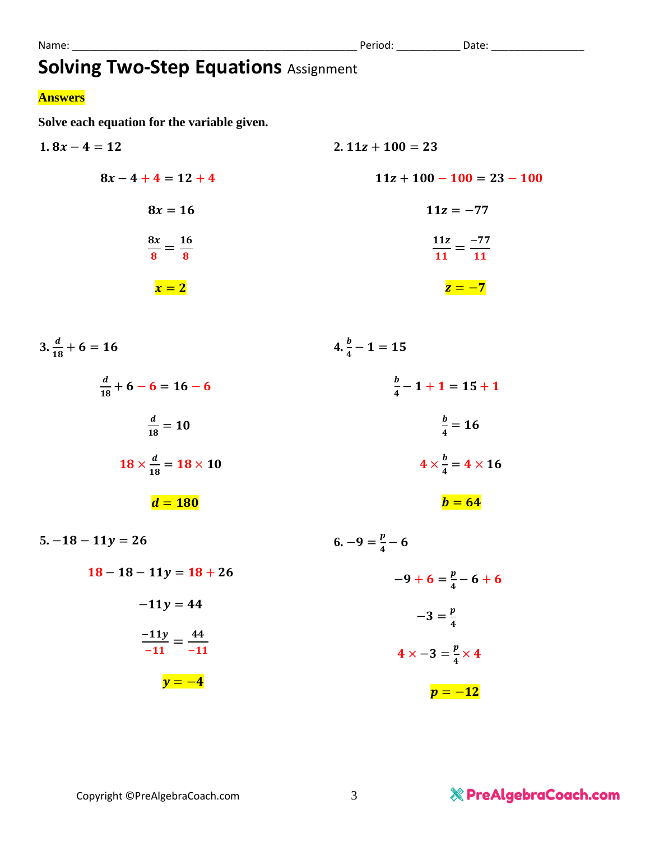## **Answers**

**Solve each equation for the variable given.**

1.  $8x - 4 = 12$  $8x - 4 + 4 = 12 + 4$  $8x = 16$  $8x$  $\frac{3x}{8}=\frac{16}{8}$ 8  $\mathbf{x} = 2$  $2. 11z + 100 = 23$  $11z + 100 - 100 = 23 - 100$  $11z = -77$  $11z$  $\frac{11z}{11} = \frac{-77}{11}$ **11**  $z = -7$  $3.\frac{d}{18} + 6 = 16$  $\boldsymbol{d}$  $\frac{u}{18} + 6 - 6 = 16 - 6$ d  $\frac{u}{18} = 10$ **18**  $\times \frac{d}{dt}$  $\frac{a}{18} = 18 \times 10$  $d = 180$  $4.\frac{b}{4}-1=15$  $\bm{b}$  $\frac{1}{4}$  – 1 + 1 = 15 + 1  $\bm{b}$  $\frac{6}{4}$  = 16  $4 \times \frac{b}{4}$  $\frac{b}{4} = 4 \times 16$  $\mathbf{b} = \mathbf{64}$  $5. -18 - 11y = 26$  $18 - 18 - 11y = 18 + 26$  $-11y = 44$  $-11y$  $\frac{-11y}{-11} = \frac{44}{-1}$ −  $y = -4$ **6.**  $-9 = \frac{p}{4}$  $\frac{p}{4}$  – 6  $-9+6=\frac{p}{4}$  $\frac{p}{4}$  – 6 + 6  $-3=\frac{p}{4}$ 4  $4 \times -3 = \frac{p}{4}$  $\frac{p}{4} \times 4$  $p = -12$